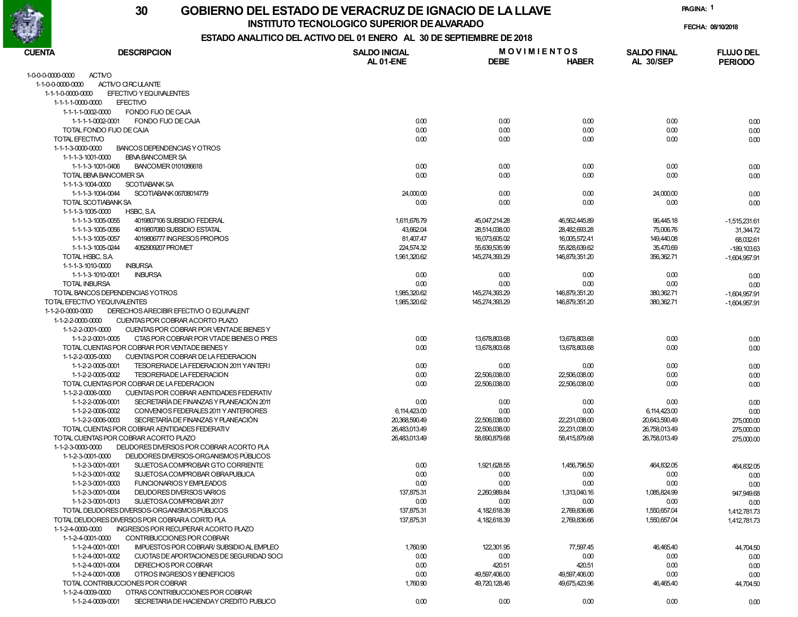

#### GOBIERNO DEL ESTADO DE VERACRUZ DE IGNACIO DE LA LLAVE 30

INSTITUTO TECNOLOGICO SUPERIOR DE ALVARADO

FECHA: 08/10/2018

PAGINA: 1

### ESTADO ANALITICO DEL ACTIVO DEL 01 ENERO AL 30 DE SEPTIEMBRE DE 2018

| CUENTA               | <b>DESCRIPCION</b>                                            | <b>SALDO INICIAL</b> | <b>MOVIMIENTOS</b> |                | <b>SALDO FINAL</b> | <b>FLUJO DEL</b> |  |
|----------------------|---------------------------------------------------------------|----------------------|--------------------|----------------|--------------------|------------------|--|
|                      |                                                               | AL 01-ENE            | <b>DEBE</b>        | <b>HABER</b>   | <b>AL 30/SEP</b>   | <b>PERIODO</b>   |  |
| 1-0-0-0-0000-0000    | <b>ACTIVO</b>                                                 |                      |                    |                |                    |                  |  |
| 1-1-0-0-0000-0000    | ACTIVO CIRCULANTE                                             |                      |                    |                |                    |                  |  |
| 1-1-1-0-0000-0000    | EFECTIVO Y EQUIVALENTES                                       |                      |                    |                |                    |                  |  |
| 1-1-1-1-0000-0000    | <b>EFECTIVO</b>                                               |                      |                    |                |                    |                  |  |
| 1-1-1-1-0002-0000    | FONDO FIJO DE CAJA                                            |                      |                    |                |                    |                  |  |
|                      | FONDO FIJO DE CAJA<br>1-1-1-1-0002-0001                       | 0.00                 | 0.00               | 0.00           | 0.00               | 0.00             |  |
|                      | TOTAL FONDO FIJO DE CAJA                                      | 0.00                 | 0.00               | 0.00           | 0.00               | 0.00             |  |
| TOTAL EFECTIVO       |                                                               | 0.00                 | 0.00               | 0.00           | 0.00               | 0.00             |  |
| 1-1-1-3-0000-0000    | BANCOS DEPENDENCIAS Y OTROS                                   |                      |                    |                |                    |                  |  |
| 1-1-1-3-1001-0000    | <b>BBVA BANCOMER SA</b>                                       |                      |                    |                |                    |                  |  |
|                      | 1-1-1-3-1001-0406<br>BANCOMER 0101086618                      | 0.00                 | 0.00               | 0.00           | 0.00               | 0.00             |  |
|                      | TOTAL BBVA BANCOMER SA                                        | 0.00                 | 0.00               | 0.00           | 0.00               | 0.00             |  |
| 1-1-1-3-1004-0000    | <b>SCOTIABANK SA</b>                                          |                      |                    |                |                    |                  |  |
|                      | SCOTIABANK 06708014779<br>1-1-1-3-1004-0044                   | 24,000.00            | 0.00               | 0.00           | 24,000.00          | 0.00             |  |
|                      | TOTAL SCOTIABANK SA                                           | 0.00                 | 0.00               | 0.00           | 0.00               | 0.00             |  |
| 1-1-1-3-1005-0000    | HSBC, S.A.                                                    |                      |                    |                |                    |                  |  |
|                      | 1-1-1-3-1005-0055<br>4019807106 SUBSIDIO FEDERAL              | 1,611,676.79         | 45,047,214.28      | 46,562,445.89  | 96,445.18          | $-1,515,231.61$  |  |
|                      | 1-1-1-3-1005-0056<br>4019807080 SUBSIDIO ESTATAL              | 43,662.04            | 28,514,038.00      | 28,482,693.28  | 75,006.76          | 31,344.72        |  |
|                      | 1-1-1-3-1005-0057<br>4019806777 INGRESOS PROPIOS              | 81,407.47            | 16,073,605.02      | 16,005,572.41  | 149,440.08         | 68,032.61        |  |
|                      | 1-1-1-3-1005-0244<br>4052909207 PROMET                        | 224,574.32           | 55,639,535.99      | 55,828,639.62  | 35,470.69          | $-189, 103.63$   |  |
|                      | TOTAL HSBC, S.A.                                              | 1,961,320.62         | 145,274,393.29     | 146,879,351.20 | 356,362.71         | $-1,604,957.91$  |  |
| 1-1-1-3-1010-0000    | <b>INBURSA</b>                                                |                      |                    |                |                    |                  |  |
|                      | 1-1-1-3-1010-0001<br><b>INBURSA</b>                           | 0.00                 | 0.00               | 0.00           | 0.00               | 0.00             |  |
| <b>TOTAL INBURSA</b> |                                                               | 0.00                 | 0.00               | 0.00           | 0.00               | 0.00             |  |
|                      | TOTAL BANCOS DEPENDENCIAS YOTROS                              | 1,985,320.62         | 145,274,393.29     | 146,879,351.20 | 380,362.71         | $-1,604,957.91$  |  |
|                      | TOTAL EFECTIVO YEQUIVALENTES                                  | 1,985,320.62         | 145,274,393.29     | 146,879,351.20 | 380,362.71         | $-1,604,957.91$  |  |
| 1-1-2-0-0000-0000    | DERECHOS ARECIBIR EFECTIVO O EQUIVALENT                       |                      |                    |                |                    |                  |  |
| 1-1-2-2-0000-0000    | CUENTAS POR COBRAR ACORTO PLAZO                               |                      |                    |                |                    |                  |  |
| 1-1-2-2-0001-0000    | CUENTAS POR COBRAR POR VENTADE BIENES Y                       |                      |                    |                |                    |                  |  |
|                      | 1-1-2-2-0001-0005<br>CTAS POR COBRAR POR VTADE BIENES O PRES  | 0.00                 | 13,678,803.68      | 13,678,803.68  | 0.00               | 0.00             |  |
|                      | TOTAL CUENTAS POR COBRAR POR VENTADE BIENES Y                 | 0.00                 | 13,678,803.68      | 13,678,803.68  | 0.00               | 0.00             |  |
| 1-1-2-2-0005-0000    | CUENTAS POR COBRAR DE LA FEDERACION                           |                      |                    |                |                    |                  |  |
|                      | 1-1-2-2-0005-0001<br>TESORERIADE LA FEDERACION 2011 YANTERI   | 0.00                 | 0.00               | 0.00           | 0.00               | 0.00             |  |
|                      | 1-1-2-2-0005-0002<br>TESORERIADE LA FEDERACION                | 0.00                 | 22,506,038.00      | 22,506,038.00  | 0.00               | 0.00             |  |
|                      | TOTAL CUENTAS POR COBRAR DE LA FEDERACION                     | 0.00                 | 22,506,038.00      | 22,506,038.00  | 0.00               | 0.00             |  |
| 1-1-2-2-0006-0000    | CUENTAS POR COBRAR AENTIDADES FEDERATIV                       |                      |                    |                |                    |                  |  |
|                      | SECRETARÍA DE FINANZAS Y PLANEACIÓN 2011<br>1-1-2-2-0006-0001 | 0.00                 | 0.00               | 0.00           | 0.00               | 0.00             |  |
|                      | 1-1-2-2-0006-0002<br>CONVENIOS FEDERALES 2011 Y ANTERIORES    | 6,114,423.00         | 0.00               | 0.00           | 6,114,423.00       | 0.00             |  |
|                      | SECRETARÍA DE FINANZAS Y PLANEACIÓN<br>1-1-2-2-0006-0003      | 20,368,590.49        | 22,506,038.00      | 22,231,038.00  | 20,643,590.49      | 275,000.00       |  |
|                      | TOTAL CUENTAS POR COBRAR AENTIDADES FEDERATIV                 | 26,483,013.49        | 22,506,038.00      | 22,231,038.00  | 26,758,013.49      | 275,000.00       |  |
|                      | TOTAL CUENTAS POR COBRAR ACORTO PLAZO                         | 26,483,013.49        | 58,690,879.68      | 58,415,879.68  | 26,758,013.49      | 275,000.00       |  |
| 1-1-2-3-0000-0000    | DEUDORES DIVERSOS POR COBRAR ACORTO PLA                       |                      |                    |                |                    |                  |  |
|                      | DEUDORES DIVERSOS-ORGANISMOS PÚBLICOS<br>1-1-2-3-0001-0000    |                      |                    |                |                    |                  |  |
|                      | 1-1-2-3-0001-0001<br>SUJETOSA COMPROBAR GTO CORRIENTE         | 0.00                 | 1,921,628.55       | 1,456,796.50   | 464,832.05         | 464,832.05       |  |
|                      | 1-1-2-3-0001-0002<br>SUJETOSA COMPROBAR OBRAPUBLICA           | 0.00                 | 0.00               | 0.00           | 0.00               | 0.00             |  |
|                      | 1-1-2-3-0001-0003<br>FUNCIONARIOS Y EMPLEADOS                 | 0.00                 | 0.00               | 0.00           | 0.00               | 0.00             |  |
|                      | 1-1-2-3-0001-0004<br>DEUDORES DIVERSOS VARIOS                 | 137,875.31           | 2,260,989.84       | 1,313,040.16   | 1.085.824.99       | 947,949.68       |  |
|                      | 1-1-2-3-0001-0013<br>SUJETOSA COMPROBAR 2017                  | 0.00                 | 0.00               | 0.00           | 0.00               | 0.00             |  |
|                      | TOTAL DEUDORES DIVERSOS-ORGANISMOS PÚBLICOS                   | 137,875.31           | 4,182,618.39       | 2,769,836.66   | 1,550,657.04       | 1,412,781.73     |  |
|                      | TOTAL DEUDORES DIVERSOS POR COBRARA CORTO PLA                 | 137,875.31           | 4,182,618.39       | 2,769,836.66   | 1,550,657.04       | 1,412,781.73     |  |
| 1-1-2-4-0000-0000    | INGRESOS POR RECUPERAR ACORTO PLAZO                           |                      |                    |                |                    |                  |  |
| 1-1-2-4-0001-0000    | CONTRIBUCCIONES POR COBRAR                                    |                      |                    |                |                    |                  |  |
|                      | 1-1-2-4-0001-0001<br>IMPUESTOS POR COBRAR/SUBSIDIO AL EMPLEO  | 1,760.90             | 122,301.95         | 77,597.45      | 46,465.40          | 44,704.50        |  |
|                      | 1-1-2-4-0001-0002<br>CUOTAS DE APORTACIONES DE SEGURIDAD SOCI | 0.00                 | 0.00               | 0.00           | 0.00               | 0.00             |  |
|                      | 1-1-2-4-0001-0004<br>DERECHOS POR COBRAR                      | 0.00                 | 420.51             | 420.51         | 0.00               | 0.00             |  |
|                      | 1-1-2-4-0001-0008<br>OTROS INGRESOS Y BENEFICIOS              | 0.00                 | 49,597,406.00      | 49,597,406.00  | 0.00               | 0.00             |  |
|                      | TOTAL CONTRIBUCCIONES POR COBRAR                              | 1,760.90             | 49,720,128.46      | 49,675,423.96  | 46,465.40          | 44,704.50        |  |
| 1-1-2-4-0009-0000    | OTRAS CONTRIBUCCIONES POR COBRAR                              |                      |                    |                |                    |                  |  |
|                      | 1-1-2-4-0009-0001<br>SECRETARIA DE HACIENDAY CREDITO PUBLICO  | 0.00                 | 0.00               | 0.00           | 0.00               | 0.00             |  |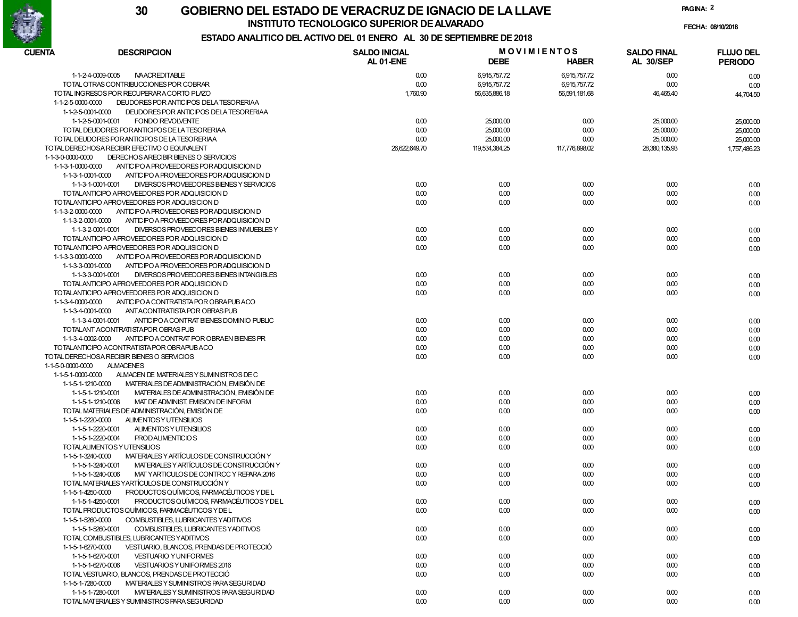

FECHA: 08/10/2018

# ESTADO ANALITICO DEL ACTIVO DEL 01 ENERO AL 30 DE SEPTIEMBRE DE 2018

| <b>CUENTA</b><br><b>DESCRIPCION</b>                                          | <b>SALDO INICIAL</b><br>AL 01-ENE | <b>DEBE</b>    | <b>MOVIMIENTOS</b><br><b>HABER</b> | <b>SALDO FINAL</b><br><b>AL 30/SEP</b> | <b>FLUJO DEL</b><br><b>PERIODO</b> |
|------------------------------------------------------------------------------|-----------------------------------|----------------|------------------------------------|----------------------------------------|------------------------------------|
| 1-1-2-4-0009-0005<br><b>NAACREDITABLE</b>                                    | 0.00                              | 6,915,757.72   | 6,915,757.72                       | 0.00                                   | 0.00                               |
| TOTAL OTRAS CONTRIBUCCIONES POR COBRAR                                       | 0.00                              | 6,915,757.72   | 6,915,757.72                       | 0.00                                   | 0.00                               |
| TOTAL INGRESOS POR RECUPERARA CORTO PLAZO                                    | 1,760.90                          | 56,635,886.18  | 56,591,181.68                      | 46,465.40                              | 44,704.50                          |
| 1-1-2-5-0000-0000<br>DEUDORES POR ANTICIPOS DELA TESORERIAA                  |                                   |                |                                    |                                        |                                    |
| 1-1-2-5-0001-0000<br>DEUDORES POR ANTICIPOS DE LA TESORERIAA                 |                                   |                |                                    |                                        |                                    |
| 1-1-2-5-0001-0001<br><b>FONDO REVOLVENTE</b>                                 | 0.00                              | 25,000.00      | 0.00                               | 25,000.00                              | 25,000.00                          |
| TOTAL DEUDORES POR ANTICIPOS DE LA TESORERIAA                                | 0.00                              | 25,000.00      | 0.00                               | 25,000.00                              | 25,000.00                          |
| TOTAL DEUDORES POR ANTICIPOS DE LA TESORERIAA                                | 0.00                              | 25,000.00      | 0.00                               | 25,000.00                              | 25,000.00                          |
| TOTAL DERECHOSA RECIBIR EFECTIVO O EQUIVALENT                                | 26,622,649.70                     | 119,534,384.25 | 117,776,898.02                     | 28,380,135.93                          | 1,757,486.23                       |
| 1-1-3-0-0000-0000<br>DERECHOS ARECIBIR BIENES O SERVICIOS                    |                                   |                |                                    |                                        |                                    |
| $1 - 1 - 3 - 1 - 0000 - 0000$<br>ANTIC PO A PROVEEDORES POR ADQUISICION D    |                                   |                |                                    |                                        |                                    |
| 1-1-3-1-0001-0000<br>ANTIC PO A PROVEEDORES POR ADQUISICION D                |                                   |                |                                    |                                        |                                    |
| DIVERSOS PROVEEDORES BIENES Y SERVICIOS<br>1-1-3-1-0001-0001                 | 0.00                              | 0.00           | 0.00                               | 0.00                                   | 0.00                               |
| TOTALANTICIPO APROVEEDORES POR ADQUISICION D                                 | 0.00                              | 0.00           | 0.00                               | 0.00                                   | 0.00                               |
| TOTALANTICIPO APROVEEDORES POR ADQUISICION D                                 | 0.00                              | 0.00           | 0.00                               | 0.00                                   | 0.00                               |
| 1-1-3-2-0000-0000<br>ANTIC PO A PROVEEDORES POR ADQUISICION D                |                                   |                |                                    |                                        |                                    |
| 1-1-3-2-0001-0000<br>ANTIC POA PROVEEDORES POR ADQUISICION D                 |                                   |                |                                    |                                        |                                    |
| 1-1-3-2-0001-0001<br>DIVERSOS PROVEEDORES BIENES INMUEBLES Y                 | 0.00                              | 0.00           | 0.00                               | 0.00                                   | 0.00                               |
| TOTALANTICIPO APROVEEDORES POR ADQUISICION D                                 | 0.00                              | 0.00           | 0.00                               | 0.00                                   | 0.00                               |
| TOTALANTICIPO APROVEEDORES POR ADQUISICION D                                 | 0.00                              | 0.00           | 0.00                               | 0.00                                   | 0.00                               |
| 1-1-3-3-0000-0000<br>ANTIC PO A PROVEEDORES POR ADQUISICION D                |                                   |                |                                    |                                        |                                    |
| 1-1-3-3-0001-0000<br>ANTIC PO A PROVEEDORES POR ADQUISICION D                |                                   |                |                                    |                                        |                                    |
| 1-1-3-3-0001-0001<br>DIVERSOS PROVEEDORES BIENES INTANGIBLES                 | 0.00                              | 0.00           | 0.00                               | 0.00                                   |                                    |
| TOTALANTICIPO APROVEEDORES POR ADQUISICION D                                 | 0.00                              | 0.00           | 0.00                               | 0.00                                   | 0.00                               |
| TOTALANTICIPO APROVEEDORES POR ADQUISICION D                                 | 0.00                              | 0.00           | 0.00                               | 0.00                                   | 0.00                               |
| 1-1-3-4-0000-0000<br>ANTIC PO A CONTRATISTA POR OBRAPUBACO                   |                                   |                |                                    |                                        | 0.00                               |
| 1-1-3-4-0001-0000                                                            |                                   |                |                                    |                                        |                                    |
| ANT ACONTRATISTA POR OBRAS PUB                                               |                                   |                |                                    |                                        |                                    |
| ANTIC POA CONTRAT BIENES DOMINIO PUBLIC<br>1-1-3-4-0001-0001                 | 0.00                              | 0.00           | 0.00                               | 0.00                                   | 0.00                               |
| TOTALANT ACONTRATISTAPOR OBRAS PUB<br>ANTIC POA CONTRAT POR OBRAEN BIENES PR | 0.00                              | 0.00           | 0.00                               | 0.00                                   | 0.00                               |
| 1-1-3-4-0002-0000<br>TOTALANTICIPO ACONTRATISTA POR OBRAPUBACO               | 0.00                              | 0.00           | 0.00                               | 0.00                                   | 0.00                               |
|                                                                              | 0.00                              | 0.00           | 0.00                               | 0.00                                   | 0.00                               |
| TOTAL DERECHOSA RECIBIR BIENES O SERVICIOS                                   | 0.00                              | 0.00           | 0.00                               | 0.00                                   | 0.00                               |
| 1-1-5-0-0000-0000<br><b>ALMACENES</b>                                        |                                   |                |                                    |                                        |                                    |
| ALMACEN DE MATERIALES Y SUMINISTROS DE C<br>1-1-5-1-0000-0000                |                                   |                |                                    |                                        |                                    |
| MATERIALES DE ADMINISTRACIÓN, EMISIÓN DE<br>1-1-5-1-1210-0000                |                                   |                |                                    |                                        |                                    |
| MATERIALES DE ADMINISTRACIÓN, EMISIÓN DE<br>1-1-5-1-1210-0001                | 0.00                              | 0.00           | 0.00                               | 0.00                                   | 0.00                               |
| 1-1-5-1-1210-0006<br>MAT DE ADMINIST, EMISION DE INFORM                      | 0.00                              | 0.00           | 0.00                               | 0.00                                   | 0.00                               |
| TOTAL MATERIALES DE ADMINISTRACIÓN, EMISIÓN DE                               | 0.00                              | 0.00           | 0.00                               | 0.00                                   | 0.00                               |
| ALIMENTOS Y UTENSILIOS<br>1-1-5-1-2220-0000                                  |                                   |                |                                    |                                        |                                    |
| ALIMENTOS Y UTENSILIOS<br>1-1-5-1-2220-0001                                  | 0.00                              | 0.00           | 0.00                               | 0.00                                   | 0.00                               |
| 1-1-5-1-2220-0004<br><b>PRODALIMENTICIOS</b>                                 | 0.00                              | 0.00           | 0.00                               | 0.00                                   | 0.00                               |
| TOTALALIMENTOS Y UTENSILIOS                                                  | 0.00                              | 0.00           | 0.00                               | 0.00                                   | 0.00                               |
| MATERIALES Y ARTÍCULOS DE CONSTRUCCIÓN Y<br>1-1-5-1-3240-0000                |                                   |                |                                    |                                        |                                    |
| MATERIALES Y ARTÍCULOS DE CONSTRUCCIÓN Y<br>1-1-5-1-3240-0001                | 0.00                              | 0.00           | 0.00                               | 0.00                                   | 0.00                               |
| 1-1-5-1-3240-0006<br>MAT YARTICULOS DE CONTRCC Y REPARA 2016                 | 0.00                              | 0.00           | 0.00                               | 0.00                                   | 0.00                               |
| TOTAL MATERIALES YARTÍCULOS DE CONSTRUCCIÓN Y                                | 0.00                              | 0.00           | 0.00                               | 0.00                                   | 0.00                               |
| PRODUCTOS QUÍMICOS, FARMACÉUTICOS Y DE L<br>1-1-5-1-4250-0000                |                                   |                |                                    |                                        |                                    |
| PRODUCTOS QUÍMICOS, FARMACÉUTICOS Y DE L<br>1-1-5-1-4250-0001                | 0.00                              | 0.00           | 0.00                               | 0.00                                   | 0.00                               |
| TOTAL PRODUCTOS QUÍMICOS, FARMACÉUTICOS Y DE L                               | 0.00                              | 0.00           | 0.00                               | 0.00                                   | 0.00                               |
| 1-1-5-1-5260-0000<br>COMBUSTIBLES, LUBRICANTES YADITIVOS                     |                                   |                |                                    |                                        |                                    |
| 1-1-5-1-5260-0001<br>COMBUSTIBLES, LUBRICANTES YADITIVOS                     | 0.00                              | 0.00           | 0.00                               | 0.00                                   | 0.00                               |
| TOTAL COMBUSTIBLES. LUBRICANTES YADITIVOS                                    | 0.00                              | 0.00           | 0.00                               | 0.00                                   | 0.00                               |
| 1-1-5-1-6270-0000<br>VESTUARIO, BLANCOS, PRENDAS DE PROTECCIÓ                |                                   |                |                                    |                                        |                                    |
| 1-1-5-1-6270-0001<br><b>VESTUARIO Y UNIFORMES</b>                            | 0.00                              | 0.00           | 0.00                               | 0.00                                   | 0.00                               |
| 1-1-5-1-6270-0006<br>VESTUARIOS Y UNIFORMES 2016                             | 0.00                              | 0.00           | 0.00                               | 0.00                                   | 0.00                               |
| TOTAL VESTUARIO, BLANCOS, PRENDAS DE PROTECCIÓ                               | 0.00                              | 0.00           | 0.00                               | 0.00                                   | 0.00                               |
| 1-1-5-1-7280-0000<br>MATERIALES Y SUMINISTROS PARA SEGURIDAD                 |                                   |                |                                    |                                        |                                    |
| 1-1-5-1-7280-0001<br>MATERIALES Y SUMINISTROS PARA SEGURIDAD                 | 0.00                              | 0.00           | 0.00                               | 0.00                                   | 0.00                               |
| TOTAL MATERIALES Y SUMINISTROS PARA SEGURIDAD                                | 0.00                              | 0.00           | 0.00                               | 0.00                                   | 0.00                               |

PAGINA: 2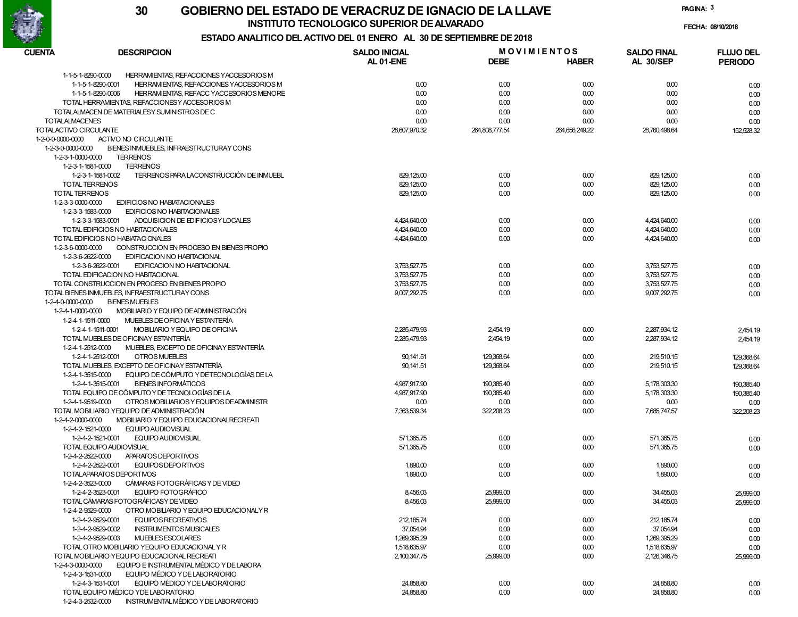

FECHA: 08/10/2018

PAGINA: 3

# ESTADO ANALITICO DEL ACTIVO DEL 01 ENERO AL 30 DE SEPTIEMBRE DE 2018

| CUENTA<br><b>DESCRIPCION</b>                                  | <b>SALDO INICIAL</b> | <b>MOVIMIENTOS</b> |                | <b>SALDO FINAL</b> | <b>FLUJO DEL</b> |  |
|---------------------------------------------------------------|----------------------|--------------------|----------------|--------------------|------------------|--|
|                                                               | AL 01-ENE            | <b>DEBE</b>        | <b>HABER</b>   | <b>AL 30/SEP</b>   | <b>PERIODO</b>   |  |
| 1-1-5-1-8290-0000<br>HERRAMIENTAS, REFACCIONES YACCESORIOS M  |                      |                    |                |                    |                  |  |
| HERRAMIENTAS, REFACCIONES YACCESORIOS M<br>1-1-5-1-8290-0001  | 0.00                 | 0.00               | 0.00           | 0.00               | 0.00             |  |
| 1-1-5-1-8290-0006<br>HERRAMIENTAS, REFACC YACCESORIOS MENORE  | 0.00                 | 0.00               | 0.00           | 0.00               | 0.00             |  |
| TOTAL HERRAMIENTAS, REFACCIONESY ACCESORIOS M                 | 0.00                 | 0.00               | 0.00           | 0.00               | 0.00             |  |
| TOTALALMACEN DE MATERIALESY SUMINISTROS DE C                  | 0.00                 | 0.00               | 0.00           | 0.00               | 0.00             |  |
| <b>TOTALALMACENES</b>                                         | 0.00                 | 0.00               | 0.00           | 0.00               | 0.00             |  |
| TOTALACTIVO CIRCULANTE                                        | 28,607,970.32        | 264,808,777.54     | 264,656,249.22 | 28,760,498.64      | 152,528.32       |  |
| ACTIVO NO CIRCULANTE<br>1-2-0-0-0000-0000                     |                      |                    |                |                    |                  |  |
| 1-2-3-0-0000-0000<br>BIENES INMUEBLES, INFRAESTRUCTURAY CONS  |                      |                    |                |                    |                  |  |
| 1-2-3-1-0000-0000<br><b>TERRENOS</b>                          |                      |                    |                |                    |                  |  |
| <b>TERRENOS</b><br>1-2-3-1-1581-0000                          |                      |                    |                |                    |                  |  |
| TERRENOS PARA LACONSTRUCCIÓN DE INMUEBL<br>1-2-3-1-1581-0002  | 829, 125.00          | 0.00               | 0.00           | 829,125.00         | 0.00             |  |
| <b>TOTAL TERRENOS</b>                                         | 829, 125.00          | 0.00               | 0.00           | 829, 125.00        | 0.00             |  |
| TOTAL TERRENOS                                                | 829,125.00           | 0.00               | 0.00           | 829, 125.00        | 0.00             |  |
| 1-2-3-3-0000-0000<br>EDIFICIOS NO HABIATACIONALES             |                      |                    |                |                    |                  |  |
| 1-2-3-3-1583-0000<br>EDIFICIOS NO HABITACIONALES              |                      |                    |                |                    |                  |  |
| 1-2-3-3-1583-0001<br>ADQUISICION DE ED FICIOSY LOCALES        | 4,424,640.00         | 0.00               | 0.00           | 4,424,640.00       | 0.00             |  |
| TOTAL EDIFICIOS NO HABITACIONALES                             | 4,424,640.00         | 0.00               | 0.00           | 4,424,640.00       |                  |  |
| TOTAL EDIFICIOS NO HABIATA CIONALES                           | 4,424,640.00         | 0.00               | 0.00           | 4,424,640.00       | 0.00             |  |
| 1-2-3-6-0000-0000<br>CONSTRUCCION EN PROCESO EN BIENES PROPIO |                      |                    |                |                    | 0.00             |  |
| 1-2-3-6-2622-0000                                             |                      |                    |                |                    |                  |  |
| EDIFICACION NO HABITACIONAL                                   |                      |                    |                |                    |                  |  |
| 1-2-3-6-2622-0001<br>EDIFICACION NO HABITACIONAL              | 3,753,527.75         | 0.00               | 0.00           | 3,753,527.75       | 0.00             |  |
| TOTAL EDIFICACION NO HABITACIONAL                             | 3,753,527.75         | 0.00               | 0.00           | 3,753,527.75       | 0.00             |  |
| TOTAL CONSTRUCCION EN PROCESO EN BIENES PROPIO                | 3,753,527.75         | 0.00               | 0.00           | 3,753,527.75       | 0.00             |  |
| TOTAL BIENES INMUEBLES, INFRAESTRUCTURAY CONS                 | 9,007,292.75         | 0.00               | 0.00           | 9,007,292.75       | 0.00             |  |
| <b>BIENES MUEBLES</b><br>1-2-4-0-0000-0000                    |                      |                    |                |                    |                  |  |
| MOBILIARIO Y EQUIPO DEADMINISTRACIÓN<br>1-2-4-1-0000-0000     |                      |                    |                |                    |                  |  |
| MUEBLES DE OFICINA Y ESTANTERÍA<br>1-2-4-1-1511-0000          |                      |                    |                |                    |                  |  |
| MOBILIARIO Y EQUIPO DE OFICINA<br>1-2-4-1-1511-0001           | 2,285,479.93         | 2,454.19           | 0.00           | 2,287,934.12       | 2,454.19         |  |
| TOTAL MUEBLES DE OFICINAY ESTANTERÍA                          | 2,285,479.93         | 2,454.19           | 0.00           | 2,287,934.12       | 2,454.19         |  |
| MUEBLES, EXCEPTO DE OFICINAY ESTANTERÍA<br>1-2-4-1-2512-0000  |                      |                    |                |                    |                  |  |
| <b>OTROS MUEBLES</b><br>1-2-4-1-2512-0001                     | 90,141.51            | 129,368.64         | 0.00           | 219,510.15         | 129,368.64       |  |
| TOTAL MUEBLES, EXCEPTO DE OFICINAY ESTANTERÍA                 | 90,141.51            | 129,368.64         | 0.00           | 219,510.15         | 129,368.64       |  |
| EQUIPO DE CÓMPUTO Y DETECNOLOGÍAS DE LA<br>1-2-4-1-3515-0000  |                      |                    |                |                    |                  |  |
| <b>BIENES INFORMÁTICOS</b><br>1-2-4-1-3515-0001               | 4,987,917.90         | 190,385.40         | 0.00           | 5,178,303.30       | 190,385.40       |  |
| TOTAL EQUIPO DE CÓMPUTO Y DE TECNOLOGÍAS DE LA                | 4,987,917.90         | 190,385.40         | 0.00           | 5,178,303.30       | 190,385.40       |  |
| OTROS MOBILIARIOS Y EQUIPOS DEADMINISTR<br>1-2-4-1-9519-0000  | 0.00                 | 0.00               | 0.00           | 0.00               | 0.00             |  |
| TOTAL MOBILIARIO YEQUIPO DE ADMINISTRACIÓN                    | 7,363,539.34         | 322,208.23         | 0.00           | 7,685,747.57       | 322,208.23       |  |
| MOBILIARIO Y EQUIPO EDUCACIONAL RECREATI<br>1-2-4-2-0000-0000 |                      |                    |                |                    |                  |  |
| 1-2-4-2-1521-0000<br>EQUIPO AUDIOVISUAL                       |                      |                    |                |                    |                  |  |
| 1-2-4-2-1521-0001<br>EQUIPO AUDIOVISUAL                       | 571,365.75           | 0.00               | 0.00           | 571,365.75         | 0.00             |  |
| TOTAL EQUIPO AUDIOVISUAL                                      | 571,365.75           | 0.00               | 0.00           | 571,365.75         | 0.00             |  |
| 1-2-4-2-2522-0000<br>APARATOS DEPORTIVOS                      |                      |                    |                |                    |                  |  |
| 1-2-4-2-2522-0001<br><b>EQUIPOS DEPORTIVOS</b>                | 1,890.00             | 0.00               | 0.00           | 1,890.00           | 0.00             |  |
| TOTALAPARATOS DEPORTIVOS                                      | 1,890.00             | 0.00               | 0.00           | 1,890.00           | 0.00             |  |
| CÁMARAS FOTOGRÁFICAS Y DE VIDEO<br>1-2-4-2-3523-0000          |                      |                    |                |                    |                  |  |
| 1-2-4-2-3523-0001<br><b>EQUIPO FOTOGRÁFICO</b>                | 8,456.03             | 25,999.00          | 0.00           | 34,455.03          | 25,999.00        |  |
| TOTAL CÁMARAS FOTOGRÁFICASY DE VIDEO                          | 8,456.03             | 25,999.00          | 0.00           | 34,455.03          | 25,999.00        |  |
| 1-2-4-2-9529-0000<br>OTRO MOBILIARIO Y EQUIPO EDUCACIONALY R  |                      |                    |                |                    |                  |  |
| 1-2-4-2-9529-0001<br>EQUIPOS RECREATIVOS                      | 212, 185.74          | 0.00               | 0.00           | 212, 185.74        | 0.00             |  |
| 1-2-4-2-9529-0002<br><b>INSTRUMENTOS MUSICALES</b>            | 37,054.94            | 0.00               | 0.00           | 37,054.94          | 0.00             |  |
| 1-2-4-2-9529-0003<br><b>MUEBLES ESCOLARES</b>                 | 1,269,395.29         | 0.00               | 0.00           | 1,269,395.29       | 0.00             |  |
| TOTAL OTRO MOBILIARIO YEQUIPO EDUCACIONAL Y R                 | 1,518,635.97         | 0.00               | 0.00           | 1,518,635.97       | 0.00             |  |
| TOTAL MOBILIARIO YEQUIPO EDUCACIONAL RECREATI                 | 2,100,347.75         | 25,999.00          | 0.00           | 2,126,346.75       | 25,999.00        |  |
| EQUIPO E INSTRUMENTAL MÉDICO Y DE LABORA<br>1-2-4-3-0000-0000 |                      |                    |                |                    |                  |  |
| EQUIPO MÉDICO Y DE LABORATORIO<br>1-2-4-3-1531-0000           |                      |                    |                |                    |                  |  |
| EQUIPO MÉDICO Y DE LABORATORIO<br>1-2-4-3-1531-0001           | 24,858.80            | 0.00               | 0.00           | 24,858.80          |                  |  |
| TOTAL EQUIPO MÉDICO YDE LABORATORIO                           | 24,858.80            | 0.00               | 0.00           | 24,858.80          | 0.00             |  |
| 1-2-4-3-2532-0000<br>INSTRUMENTAL MÉDICO Y DE LABORATORIO     |                      |                    |                |                    | 0.00             |  |
|                                                               |                      |                    |                |                    |                  |  |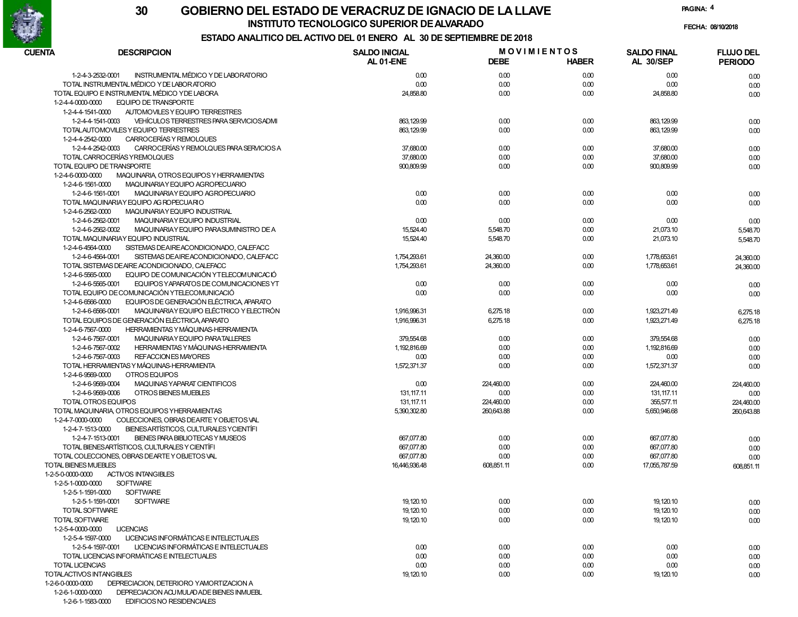

FECHA: 08/10/2018

PAGINA: 4

# ESTADO ANALITICO DEL ACTIVO DEL 01 ENERO AL 30 DE SEPTIEMBRE DE 2018

| CUENTA | <b>DESCRIPCION</b>                                              | <b>SALDO INICIAL</b> | <b>MOVIMIENTOS</b> |              | <b>SALDO FINAL</b> | <b>FLUJO DEL</b> |
|--------|-----------------------------------------------------------------|----------------------|--------------------|--------------|--------------------|------------------|
|        |                                                                 | AL 01-ENE            | <b>DEBE</b>        | <b>HABER</b> | <b>AL 30/SEP</b>   | <b>PERIODO</b>   |
|        | INSTRUMENTAL MÉDICO Y DE LABORATORIO<br>1-2-4-3-2532-0001       | 0.00                 | 0.00               | 0.00         | 0.00               | 0.00             |
|        | TOTAL INSTRUMENTAL MÉDICO Y DE LABORATORIO                      | 0.00                 | 0.00               | 0.00         | 0.00               | 0.00             |
|        | TOTAL EQUIPO E INSTRUMENTAL MÉDICO Y DE LABORA                  | 24,858.80            | 0.00               | 0.00         | 24,858.80          | 0.00             |
|        | <b>EQUIPO DE TRANSPORTE</b><br>1-2-4-4-0000-0000                |                      |                    |              |                    |                  |
|        | 1-2-4-4-1541-0000<br>AUTOMOVILES Y EQUIPO TERRESTRES            |                      |                    |              |                    |                  |
|        | VEHÍCULOS TERRESTRES PARA SERVICIOS ADMI<br>1-2-4-4-1541-0003   | 863, 129.99          | 0.00               | 0.00         | 863, 129.99        | 0.00             |
|        | TOTALAUTOMOVILES Y EQUIPO TERRESTRES                            | 863, 129.99          | 0.00               | 0.00         | 863, 129.99        | 0.00             |
|        | CARROCERÍAS Y REMOLQUES<br>1-2-4-4-2542-0000                    |                      |                    |              |                    |                  |
|        | 1-2-4-4-2542-0003<br>CARROCERÍAS Y REMOLQUES PARA SERVICIOS A   | 37,680.00            | 0.00               | 0.00         | 37,680.00          | 0.00             |
|        | TOTAL CARROCERÍAS YREMOLQUES                                    | 37,680.00            | 0.00               | 0.00         | 37,680.00          | 0.00             |
|        | TOTAL EQUIPO DE TRANSPORTE                                      | 900,809.99           | 0.00               | 0.00         | 900,809.99         | 0.00             |
|        | 1-2-4-6-0000-0000<br>MAQUINARIA, OTROS EQUIPOS Y HERRAMIENTAS   |                      |                    |              |                    |                  |
|        | 1-2-4-6-1561-0000<br>MAQUINARIAY EQUIPO AGROPECUARIO            |                      |                    |              |                    |                  |
|        | 1-2-4-6-1561-0001<br>MAQUINARIAY EQUIPO AGROPECUARIO            | 0.00                 | 0.00               | 0.00         | 0.00               | 0.00             |
|        | TOTAL MAQUINARIAY EQUIPO AG ROPECUARIO                          | 0.00                 | 0.00               | 0.00         | 0.00               | 0.00             |
|        | 1-2-4-6-2562-0000<br>MAQUINARIAY EQUIPO INDUSTRIAL              |                      |                    |              |                    |                  |
|        | 1-2-4-6-2562-0001<br>MAQUINARIAY EQUIPO INDUSTRIAL              | 0.00                 | 0.00               | 0.00         | 0.00               | 0.00             |
|        | 1-2-4-6-2562-0002<br>MAQUINARIAY EQUIPO PARASUMINISTRO DE A     | 15,524.40            | 5,548.70           | 0.00         | 21,073.10          | 5,548.70         |
|        | TOTAL MAQUINARIAY EQUIPO INDUSTRIAL                             | 15,524.40            | 5,548.70           | 0.00         | 21,073.10          | 5,548.70         |
|        | SISTEMAS DE AIRE ACONDICIONADO, CALEFACC<br>1-2-4-6-4564-0000   |                      |                    |              |                    |                  |
|        | 1-2-4-6-4564-0001<br>SISTEMAS DE AIREACONDICIONADO, CALEFACC    | 1,754,293.61         | 24,360.00          | 0.00         | 1,778,653.61       | 24,360.00        |
|        | TOTAL SISTEMAS DE AIRE ACONDICIONADO, CALEFACC                  | 1,754,293.61         | 24,360.00          | 0.00         | 1,778,653.61       | 24,360.00        |
|        | EQUIPO DE COMUNICACIÓN YTELECOMUNICACIÓ<br>1-2-4-6-5565-0000    |                      |                    |              |                    |                  |
|        | EQUIPOS Y APARATOS DE COMUNICACIONES YT<br>1-2-4-6-5565-0001    | 0.00                 | 0.00               | 0.00         | 0.00               | 0.00             |
|        | TOTAL EQUIPO DE COMUNICACIÓN YTELECOMUNICACIÓ                   | 0.00                 | 0.00               | 0.00         | 0.00               | 0.00             |
|        | EQUIPOS DE GENERACIÓN ELÉCTRICA, APARATO<br>1-2-4-6-6566-0000   |                      |                    |              |                    |                  |
|        | MAQUINARIA Y EQUIPO ELÉCTRICO Y ELECTRÓN<br>1-2-4-6-6566-0001   | 1.916.996.31         | 6,275.18           | 0.00         | 1,923,271.49       | 6,275.18         |
|        | TOTAL EQUIPOS DE GENERACIÓN ELÉCTRICA APARATO                   | 1,916,996.31         | 6,275.18           | 0.00         | 1,923,271.49       | 6.275.18         |
|        | <b>HERRAMIENTAS Y MÁQUINAS-HERRAMIENTA</b><br>1-2-4-6-7567-0000 |                      |                    |              |                    |                  |
|        | 1-2-4-6-7567-0001<br>MAQUINARIAY EQUIPO PARATALLERES            | 379,554.68           | 0.00               | 0.00         | 379,554.68         | 0.00             |
|        | HERRAMIENTAS Y MÁQUINAS-HERRAMIENTA<br>1-2-4-6-7567-0002        | 1,192,816.69         | 0.00               | 0.00         | 1,192,816.69       | 0.00             |
|        | 1-2-4-6-7567-0003<br>REFACCIONES MAYORES                        | 0.00                 | 0.00               | 0.00         | 0.00               | 0.00             |
|        | TOTAL HERRAMIENTAS Y MÁQUINAS-HERRAMIENTA                       | 1,572,371.37         | 0.00               | 0.00         | 1,572,371.37       | 0.00             |
|        | 1-2-4-6-9569-0000<br>OTROS EQUIPOS                              |                      |                    |              |                    |                  |
|        | 1-2-4-6-9569-0004<br>MAQUINAS YAPARAT CIENTIFICOS               | 0.00                 | 224,460.00         | 0.00         | 224,460.00         | 224,460.00       |
|        | 1-2-4-6-9569-0006<br>OTROS BIENES MUEBLES                       | 131, 117.11          | 0.00               | 0.00         | 131, 117.11        | 0.00             |
|        | TOTAL OTROS EQUIPOS                                             | 131, 117.11          | 224,460.00         | 0.00         | 355,577.11         | 224,460.00       |
|        | TOTAL MAQUINARIA, OTROS EQUIPOS YHERRAMIENTAS                   | 5,390,302.80         | 260,643.88         | 0.00         | 5,650,946.68       | 260,643.88       |
|        | COLECCIONES, OBRAS DEARTE Y OBJETOS VAL<br>1-2-4-7-0000-0000    |                      |                    |              |                    |                  |
|        | 1-2-4-7-1513-0000<br>BIENESARTÍSTICOS, CULTURALES Y CIENTÍFI    |                      |                    |              |                    |                  |
|        | 1-2-4-7-1513-0001<br>BIENES PARA BIBLIOTECAS Y MUSEOS           | 667,077.80           | 0.00               | 0.00         | 667,077.80         | 0.00             |
|        | TOTAL BIENESARTÍSTICOS, CULTURALES Y CIENTÍFI                   | 667,077.80           | 0.00               | 0.00         | 667,077.80         | 0.00             |
|        | TOTAL COLECCIONES, OBRAS DEARTEY OBJETOS VAL                    | 667,077.80           | 0.00               | 0.00         | 667,077.80         | 0.00             |
|        | TOTAL BIENES MUEBLES                                            | 16,446,936.48        | 608,851.11         | 0.00         | 17,055,787.59      | 608,851.11       |
|        | <b>ACTIVOS INTANGIBLES</b><br>1-2-5-0-0000-0000                 |                      |                    |              |                    |                  |
|        | <b>SOFTWARE</b><br>1-2-5-1-0000-0000                            |                      |                    |              |                    |                  |
|        | 1-2-5-1-1591-0000<br><b>SOFTWARE</b>                            |                      |                    |              |                    |                  |
|        | 1-2-5-1-1591-0001<br><b>SOFTWARE</b>                            | 19, 120.10           | 0.00               | 0.00         | 19,120.10          | 0.00             |
|        | TOTAL SOFTWARE                                                  | 19,120.10            | 0.00               | 0.00         | 19,120.10          | 0.00             |
|        | TOTAL SOFTWARE                                                  | 19,120.10            | 0.00               | 0.00         | 19,120.10          | 0.00             |
|        | 1-2-5-4-0000-0000<br><b>LICENCIAS</b>                           |                      |                    |              |                    |                  |
|        | LICENCIAS INFORMÁTICAS E INTELECTUALES<br>1-2-5-4-1597-0000     |                      |                    |              |                    |                  |
|        | LICENCIAS INFORMÁTICAS E INTELECTUALES<br>1-2-5-4-1597-0001     | 0.00                 | 0.00               | 0.00         | 0.00               | 0.00             |
|        | TOTAL LICENCIAS INFORMÁTICAS E INTELECTUALES                    | 0.00                 | 0.00               | 0.00         | 0.00               | 0.00             |
|        | TOTAL LICENCIAS                                                 | 0.00                 | 0.00               | 0.00         | 0.00               | 0.00             |
|        | TOTALACTIVOS INTANGIBLES                                        | 19,120.10            | 0.00               | 0.00         | 19,120.10          | 0.00             |
|        | 1-2-6-0-0000-0000<br>DEPRECIACION. DETERIORO YAMORTIZACION A    |                      |                    |              |                    |                  |
|        | 1-2-6-1-0000-0000<br>DEPRECIACION ACU MULAD ADE BIENES INMUEBL  |                      |                    |              |                    |                  |

1-2-6-1-1583-0000 EDIFICIOS NO RESIDENCIALES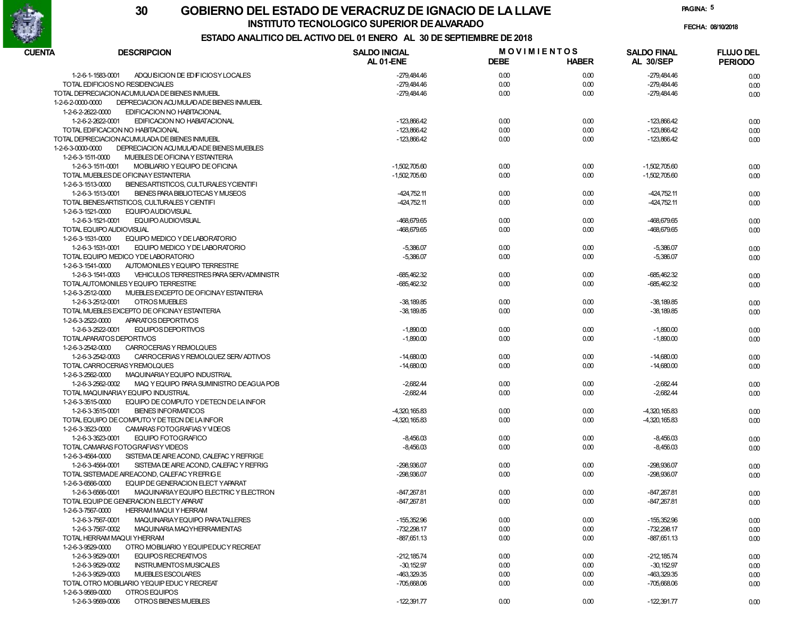

FECHA: 08/10/2018

PAGINA: 5

### ESTADO ANALITICO DEL ACTIVO DEL 01 ENERO AL 30 DE SEPTIEMBRE DE 2018

| CUENTA<br><b>DESCRIPCION</b>                      |                                           | <b>SALDO INICIAL</b> | <b>MOVIMIENTOS</b> |              | <b>SALDO FINAL</b> | <b>FLUJO DEL</b> |
|---------------------------------------------------|-------------------------------------------|----------------------|--------------------|--------------|--------------------|------------------|
|                                                   |                                           | AL 01-ENE            | <b>DEBE</b>        | <b>HABER</b> | <b>AL 30/SEP</b>   | <b>PERIODO</b>   |
| 1-2-6-1-1583-0001                                 | ADQUISICION DE ED FICIOSY LOCALES         | -279,484.46          | 0.00               | 0.00         | $-279,484.46$      | 0.00             |
| TOTAL EDIFICIOS NO RESIDENCIALES                  |                                           | $-279,484.46$        | 0.00               | 0.00         | -279,484.46        | 0.00             |
| TOTAL DEPRECIACION ACUMULADA DE BIENES INMUEBL    |                                           | -279,484.46          | 0.00               | 0.00         | -279,484.46        | 0.00             |
| 1-2-6-2-0000-0000                                 | DEPRECIACION ACU MULAD ADE BIENES INMUEBL |                      |                    |              |                    |                  |
| 1-2-6-2-2622-0000                                 | EDIFICACION NO HABITACIONAL               |                      |                    |              |                    |                  |
| 1-2-6-2-2622-0001                                 | EDIFICACION NO HABIATACIONAL              | $-123,866.42$        | 0.00               | 0.00         | $-123,866.42$      | 0.00             |
| TOTAL EDIFICACION NO HABITACIONAL                 |                                           | $-123,866.42$        | 0.00               | 0.00         | $-123,866.42$      | 0.00             |
| TOTAL DEPRECIACION ACUMULADA DE BIENES INMUEBL    |                                           | $-123,866.42$        | 0.00               | 0.00         | $-123,866.42$      | 0.00             |
| 1-2-6-3-0000-0000                                 | DEPRECIACION ACU MULAD ADE BIENES MUEBLES |                      |                    |              |                    |                  |
| 1-2-6-3-1511-0000                                 | MUEBLES DE OFICINA Y ESTANTERIA           |                      |                    |              |                    |                  |
| 1-2-6-3-1511-0001                                 | MOBILIARIO Y EQUIPO DE OFICINA            | $-1,502,705.60$      | 0.00               | 0.00         | $-1,502,705.60$    | 0.00             |
| TOTAL MUEBLES DE OFICINAY ESTANTERIA              |                                           | $-1,502,705.60$      | 0.00               | 0.00         | $-1,502,705.60$    |                  |
| 1-2-6-3-1513-0000                                 |                                           |                      |                    |              |                    | 0.00             |
|                                                   | BIENES ARTISTICOS, CULTURALES Y CIENTIFI  |                      |                    |              |                    |                  |
| 1-2-6-3-1513-0001                                 | BIENES PARA BIBLIOTECAS Y MUSEOS          | $-424,752.11$        | 0.00               | 0.00         | $-424,752.11$      | 0.00             |
| TOTAL BIENES ARTISTICOS, CULTURALES Y CIENTIFI    |                                           | $-424,752.11$        | 0.00               | 0.00         | $-424,752.11$      | 0.00             |
| 1-2-6-3-1521-0000<br>EQUIPO AUDIOVISUAL           |                                           |                      |                    |              |                    |                  |
| 1-2-6-3-1521-0001<br><b>EQUIPO AUDIOVISUAL</b>    |                                           | -468,679.65          | 0.00               | 0.00         | -468,679.65        | 0.00             |
| TOTAL EQUIPO AUDIOVISUAL                          |                                           | -468,679.65          | 0.00               | 0.00         | -468,679.65        | 0.00             |
| 1-2-6-3-1531-0000                                 | EQUIPO MEDICO Y DE LABORATORIO            |                      |                    |              |                    |                  |
| 1-2-6-3-1531-0001                                 | EQUIPO MEDICO Y DE LABORATORIO            | $-5,386.07$          | 0.00               | 0.00         | $-5,386.07$        | 0.00             |
| TOTAL EQUIPO MEDICO YDE LABORATORIO               |                                           | $-5,386.07$          | 0.00               | 0.00         | $-5,386.07$        | 0.00             |
| 1-2-6-3-1541-0000                                 | AUTOMONILES Y EQUIPO TERRESTRE            |                      |                    |              |                    |                  |
| 1-2-6-3-1541-0003                                 | VEHICULOS TERRESTRES PARA SERVADMINISTR   | -685,462.32          | 0.00               | 0.00         | -685,462.32        | 0.00             |
| TOTALAUTOMONILES Y EQUIPO TERRESTRE               |                                           | -685,462.32          | 0.00               | 0.00         | $-685,462.32$      | 0.00             |
| 1-2-6-3-2512-0000                                 | MUEBLES EXCEPTO DE OFICINAY ESTANTERIA    |                      |                    |              |                    |                  |
| 1-2-6-3-2512-0001<br>OTROS MUEBLES                |                                           | $-38,189.85$         | 0.00               | 0.00         | $-38,189.85$       | 0.00             |
| TOTAL MUEBLES EXCEPTO DE OFICINAY ESTANTERIA      |                                           | $-38,189.85$         | 0.00               | 0.00         | $-38,189.85$       | 0.00             |
| 1-2-6-3-2522-0000<br>APARATOS DEPORTIVOS          |                                           |                      |                    |              |                    |                  |
| 1-2-6-3-2522-0001<br><b>EQUIPOS DEPORTIVOS</b>    |                                           | $-1,890.00$          | 0.00               | 0.00         | $-1,890.00$        | 0.00             |
| TOTALAPARATOS DEPORTIVOS                          |                                           | $-1,890.00$          | 0.00               | 0.00         | $-1,890.00$        | 0.00             |
| 1-2-6-3-2542-0000                                 | CARROCERIAS Y REMOLQUES                   |                      |                    |              |                    |                  |
| 1-2-6-3-2542-0003                                 | CARROCERIAS Y REMOLQUEZ SERV ADTIVOS      | $-14,680.00$         | 0.00               | 0.00         | $-14,680.00$       | 0.00             |
| TOTAL CARROCERIAS YREMOLQUES                      |                                           | $-14,680.00$         | 0.00               | 0.00         | $-14,680.00$       | 0.00             |
| 1-2-6-3-2562-0000                                 | MAQUINARIAY EQUIPO INDUSTRIAL             |                      |                    |              |                    |                  |
| 1-2-6-3-2562-0002                                 | MAQ Y EQUIPO PARA SUMINISTRO DEAGUA POB   | $-2,682.44$          | 0.00               | 0.00         | $-2,682.44$        | 0.00             |
| TOTAL MAQUINARIAY EQUIPO INDUSTRIAL               |                                           | $-2,682.44$          | 0.00               | 0.00         | $-2,682.44$        | 0.00             |
| 1-2-6-3-3515-0000                                 | EQUIPO DE COMPUTO Y DETECN DE LA INFOR    |                      |                    |              |                    |                  |
| 1-2-6-3-3515-0001<br><b>BIENES INFORMATICOS</b>   |                                           | -4,320,165.83        | 0.00               | 0.00         | $-4,320,165.83$    |                  |
|                                                   |                                           |                      |                    |              |                    | 0.00             |
| TOTAL EQUIPO DE COMPUTO Y DE TECN DE LA INFOR     |                                           | -4,320,165.83        | 0.00               | 0.00         | $-4,320,165.83$    | 0.00             |
| 1-2-6-3-3523-0000                                 | CAMARAS FOTOGRAFIAS Y VIDEOS              |                      |                    |              |                    |                  |
| 1-2-6-3-3523-0001                                 | <b>EQUIPO FOTOGRAFICO</b>                 | $-8,456.03$          | 0.00               | 0.00         | $-8,456.03$        | 0.00             |
| TOTAL CAMARAS FOTOGRAFIASY VIDEOS                 |                                           | $-8,456.03$          | 0.00               | 0.00         | $-8,456.03$        | 0.00             |
| 1-2-6-3-4564-0000                                 | SISTEMA DE AIRE ACOND, CALEFAC Y REFRIGE  |                      |                    |              |                    |                  |
| 1-2-6-3-4564-0001                                 | SISTEMA DE AIRE ACOND, CALEFAC Y REFRIG   | -298,936.07          | 0.00               | 0.00         | -298,936.07        | 0.00             |
| TOTAL SISTEMADE AIREACOND. CALEFAC YREFRIGE       |                                           | -298,936.07          | 0.00               | 0.00         | -298,936.07        | 0.00             |
| 1-2-6-3-6566-0000                                 | EQUIP DE GENERACION ELECT YAPARAT         |                      |                    |              |                    |                  |
| 1-2-6-3-6566-0001                                 | MAQUINARIAY EQUIPO ELECTRIC Y ELECTRON    | $-847,267.81$        | 0.00               | 0.00         | $-847,267.81$      | 0.00             |
| TOTAL EQUIP DE GENERACION ELECTY APARAT           |                                           | -847,267.81          | 0.00               | 0.00         | -847,267.81        | 0.00             |
| 1-2-6-3-7567-0000<br><b>HERRAM MAQUI Y HERRAM</b> |                                           |                      |                    |              |                    |                  |
| 1-2-6-3-7567-0001                                 | MAQUINARIAY EQUIPO PARATALLERES           | $-155,352.96$        | 0.00               | 0.00         | $-155.352.96$      | 0.00             |
| 1-2-6-3-7567-0002                                 | MAQUINARIA MAQYHERRAMIENTAS               | $-732,298.17$        | 0.00               | 0.00         | $-732,298.17$      | 0.00             |
| TOTAL HERRAM MAQUI YHERRAM                        |                                           | $-887,651.13$        | 0.00               | 0.00         | $-887,651.13$      | 0.00             |
| 1-2-6-3-9529-0000                                 | OTRO MOBILIARIO Y EQUIPEDUCY RECREAT      |                      |                    |              |                    |                  |
| 1-2-6-3-9529-0001                                 | EQUIPOS RECREATIVOS                       | $-212,185.74$        | 0.00               | 0.00         | $-212,185.74$      | 0.00             |
| 1-2-6-3-9529-0002                                 | <b>INSTRUMENTOS MUSICALES</b>             | $-30,152.97$         | 0.00               | 0.00         | $-30,152.97$       | 0.00             |
| 1-2-6-3-9529-0003<br>MUEBLES ESCOLARES            |                                           | -463,329.35          | 0.00               | 0.00         | -463,329.35        | 0.00             |
| TOTAL OTRO MOBILIARIO YEQUIP EDUC Y RECREAT       |                                           | $-705,668.06$        | 0.00               | 0.00         | $-705.668.06$      | 0.00             |
| 1-2-6-3-9569-0000<br>OTROS EQUIPOS                |                                           |                      |                    |              |                    |                  |
| 1-2-6-3-9569-0006                                 | OTROS BIENES MUEBLES                      | $-122,391.77$        | 0.00               | 0.00         | $-122,391.77$      | 0.00             |
|                                                   |                                           |                      |                    |              |                    |                  |